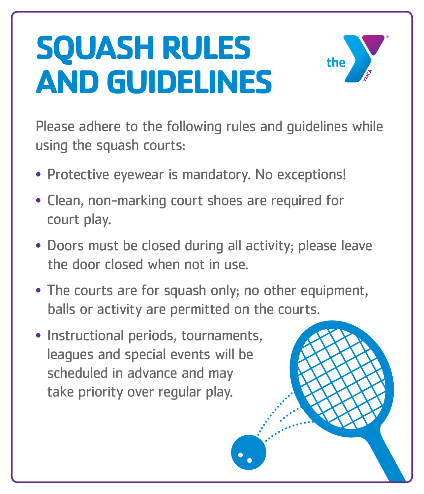## **SQUASH RULES AND GUIDELINES**



Please adhere to the following rules and guidelines while using the squash courts:

- Protective eyewear is mandatory. No exceptions!
- Clean, non-marking court shoes are required for court play.
- Doors must be closed during all activity; please leave the door closed when not in use.
- The courts are for squash only; no other equipment,

balls or activity are permitted on the courts.

• Instructional periods, tournaments, leagues and special events will be scheduled in advance and may take priority over regular play.